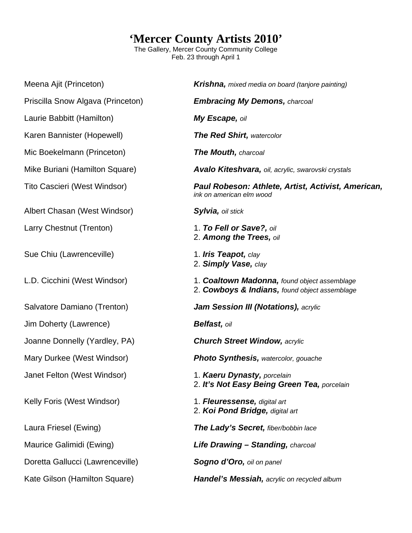## **'Mercer County Artists 2010'**

The Gallery, Mercer County Community College Feb. 23 through April 1

Meena Ajit (Princeton) *Krishna, mixed media on board (tanjore painting)*  Priscilla Snow Algava (Princeton) *Embracing My Demons, charcoal*  Laurie Babbitt (Hamilton) *My Escape, oil*  Karen Bannister (Hopewell) *The Red Shirt, watercolor*  Mic Boekelmann (Princeton) *The Mouth, charcoal*  Mike Buriani (Hamilton Square) *Avalo Kiteshvara, oil, acrylic, swarovski crystals*  Tito Cascieri (West Windsor) *Paul Robeson: Athlete, Artist, Activist, American, ink on american elm wood*  Albert Chasan (West Windsor) *Sylvia, oil stick*  Larry Chestnut (Trenton) 1. *To Fell or Save?, oil*  2. *Among the Trees, oil*  Sue Chiu (Lawrenceville) **1.** *Iris Teapot, clay*  2. *Simply Vase, clay*  L.D. Cicchini (West Windsor) 1. *Coaltown Madonna, found object assemblage*  2. *Cowboys & Indians, found object assemblage*  Salvatore Damiano (Trenton) *Jam Session III (Notations), acrylic*  Jim Doherty (Lawrence) *Belfast, oil*  Joanne Donnelly (Yardley, PA) *Church Street Window, acrylic*  Mary Durkee (West Windsor) *Photo Synthesis, watercolor, gouache*  Janet Felton (West Windsor) 1. *Kaeru Dynasty, porcelain*  2. *It's Not Easy Being Green Tea, porcelain*  Kelly Foris (West Windsor) 1. *Fleuressense, digital art*  2. *Koi Pond Bridge, digital art*  Laura Friesel (Ewing) *The Lady's Secret, fiber/bobbin lace*  Maurice Galimidi (Ewing) *Life Drawing – Standing, charcoal*  Doretta Gallucci (Lawrenceville) *Sogno d'Oro, oil on panel*  Kate Gilson (Hamilton Square) *Handel's Messiah, acrylic on recycled album*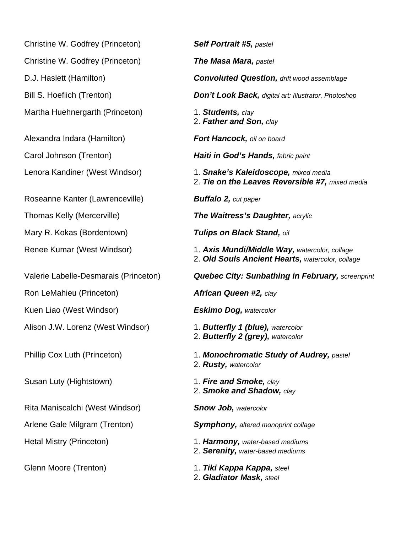Christine W. Godfrey (Princeton) *Self Portrait #5, pastel*  Christine W. Godfrey (Princeton) *The Masa Mara, pastel*  Martha Huehnergarth (Princeton) 1. **Students,** *clay* 

Roseanne Kanter (Lawrenceville) *Buffalo 2, cut paper* 

Mary R. Kokas (Bordentown) *Tulips on Black Stand, oil* 

Ron LeMahieu (Princeton) *African Queen #2, clay* 

Kuen Liao (West Windsor) *Eskimo Dog, watercolor* 

Alison J.W. Lorenz (West Windsor) 1. *Butterfly 1 (blue), watercolor* 

Rita Maniscalchi (West Windsor) *Snow Job, watercolor* 

D.J. Haslett (Hamilton) *Convoluted Question, drift wood assemblage*  Bill S. Hoeflich (Trenton) *Don't Look Back, digital art: Illustrator, Photoshop*  2. *Father and Son, clay*  Alexandra Indara (Hamilton) *Fort Hancock, oil on board*  Carol Johnson (Trenton) *Haiti in God's Hands, fabric paint*  Lenora Kandiner (West Windsor) 1. *Snake's Kaleidoscope, mixed media*  2. *Tie on the Leaves Reversible #7, mixed media*  Thomas Kelly (Mercerville) *The Waitress's Daughter, acrylic*  Renee Kumar (West Windsor) 1. *Axis Mundi/Middle Way, watercolor, collage*  2. *Old Souls Ancient Hearts, watercolor, collage*  Valerie Labelle-Desmarais (Princeton) *Quebec City: Sunbathing in February, screenprint*  2. *Butterfly 2 (grey), watercolor*  Phillip Cox Luth (Princeton) 1. *Monochromatic Study of Audrey, pastel*  2. *Rusty, watercolor*  Susan Luty (Hightstown) 1. *Fire and Smoke, clay*  2. *Smoke and Shadow, clay* 

Arlene Gale Milgram (Trenton) *Symphony, altered monoprint collage* 

Hetal Mistry (Princeton) 1. *Harmony, water-based mediums*  2. *Serenity, water-based mediums* 

Glenn Moore (Trenton) 1. *Tiki Kappa Kappa, steel*  2. *Gladiator Mask, steel*